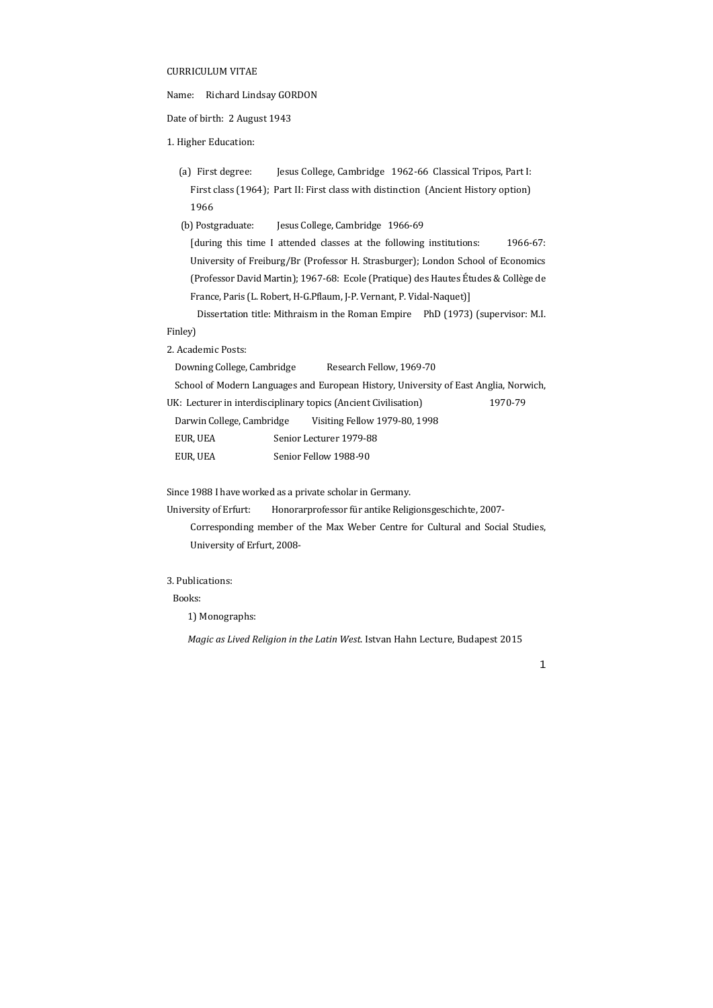#### CURRICULUM VITAE

Name: Richard Lindsay GORDON

Date of birth: 2 August 1943

#### 1. Higher Education:

(a) First degree: Jesus College, Cambridge 1962-66 Classical Tripos, Part I: First class (1964); Part II: First class with distinction (Ancient History option) 1966 

(b) Postgraduate: Jesus College, Cambridge 1966-69

[during this time I attended classes at the following institutions: 1966-67: University of Freiburg/Br (Professor H. Strasburger); London School of Economics (Professor David Martin); 1967‐68: Ecole (Pratique) des Hautes Études & Collège de France, Paris (L. Robert, H-G.Pflaum, J-P. Vernant, P. Vidal-Naquet)]

Dissertation title: Mithraism in the Roman Empire PhD (1973) (supervisor: M.I. Finley) 

2. Academic Posts:

Downing College, Cambridge Research Fellow, 1969-70

School of Modern Languages and European History, University of East Anglia, Norwich,

UK: Lecturer in interdisciplinary topics (Ancient Civilisation) 1970‐79 

Darwin College, Cambridge Visiting Fellow 1979-80, 1998

EUR, UEA Senior Lecturer 1979-88

EUR, UEA Senior Fellow 1988-90

Since 1988 I have worked as a private scholar in Germany.

University of Erfurt: Honorarprofessor für antike Religionsgeschichte, 2007-Corresponding member of the Max Weber Centre for Cultural and Social Studies, University of Erfurt, 2008-

### 3. Publications:

Books: 

1) Monographs:

*Magic as Lived Religion in the Latin West*. Istvan Hahn Lecture, Budapest 2015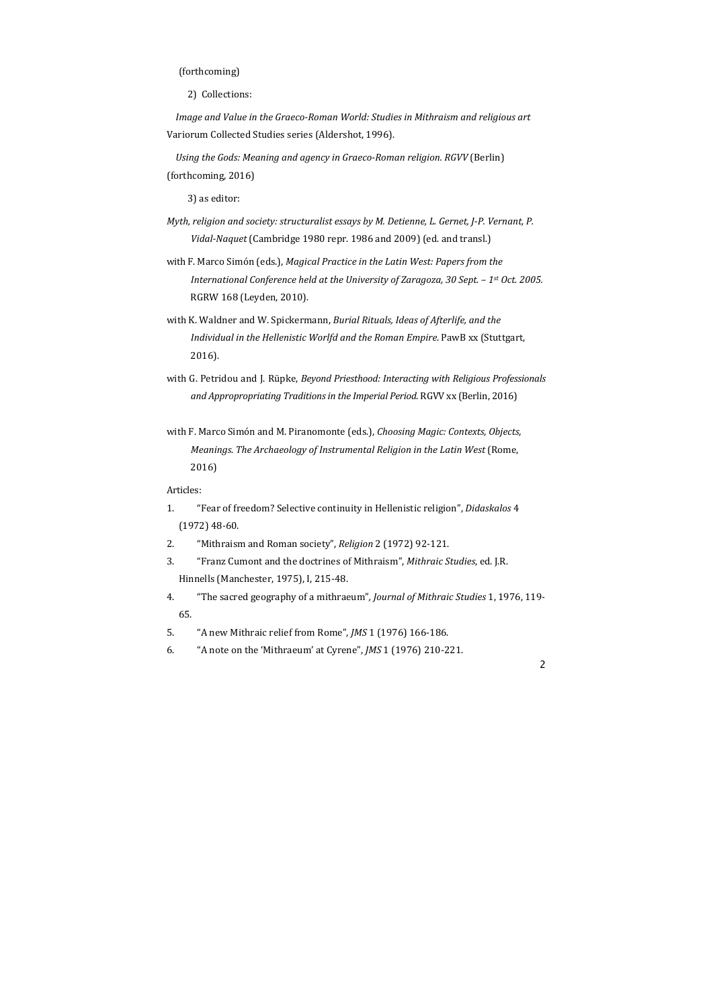## (forthcoming)

2) Collections:

*Image and Value in the Graeco‐Roman World: Studies in Mithraism and religious art* Variorum Collected Studies series (Aldershot, 1996).

*Using the Gods: Meaning and agency in Graeco‐Roman religion. RGVV* (Berlin) (forthcoming, 2016)

3) as editor:

- *Myth, religion and society: structuralist essays by M. Detienne, L. Gernet, J‐P. Vernant, P. Vidal‐Naquet* (Cambridge 1980 repr. 1986 and 2009) (ed. and transl.)
- with F. Marco Simón (eds.), *Magical Practice in the Latin West: Papers from the International Conference held at the University of Zaragoza, 30 Sept. – 1st Oct. 2005.* RGRW 168 (Leyden, 2010).
- with K. Waldner and W. Spickermann, *Burial Rituals, Ideas of Afterlife, and the Individual in the Hellenistic Worlfd and the Roman Empire*. PawB xx (Stuttgart, 2016).
- with G. Petridou and J. Rüpke, *Beyond Priesthood: Interacting with Religious Professionals and Appropropriating Traditionsin the Imperial Period*. RGVV xx (Berlin, 2016)
- with F. Marco Simón and M. Piranomonte (eds.), *Choosing Magic: Contexts, Objects, Meanings. The Archaeology of Instrumental Religion in the Latin West* (Rome, 2016)

#### Articles:

- 1. "Fear of freedom? Selective continuity in Hellenistic religion", *Didaskalos* 4  $(1972)$  48-60.
- 2. "Mithraism and Roman society", *Religion* 2 (1972) 92-121.
- 3. "Franz Cumont and the doctrines of Mithraism", *Mithraic Studies*, ed. J.R. Hinnells (Manchester, 1975), I, 215-48.
- 4. "The sacred geography of a mithraeum", *Journal of Mithraic Studies* 1, 1976, 119-65.
- 5. "A new Mithraic relief from Rome", *JMS* 1 (1976) 166-186.
- 6. "A note on the 'Mithraeum' at Cyrene", *JMS* 1 (1976) 210-221.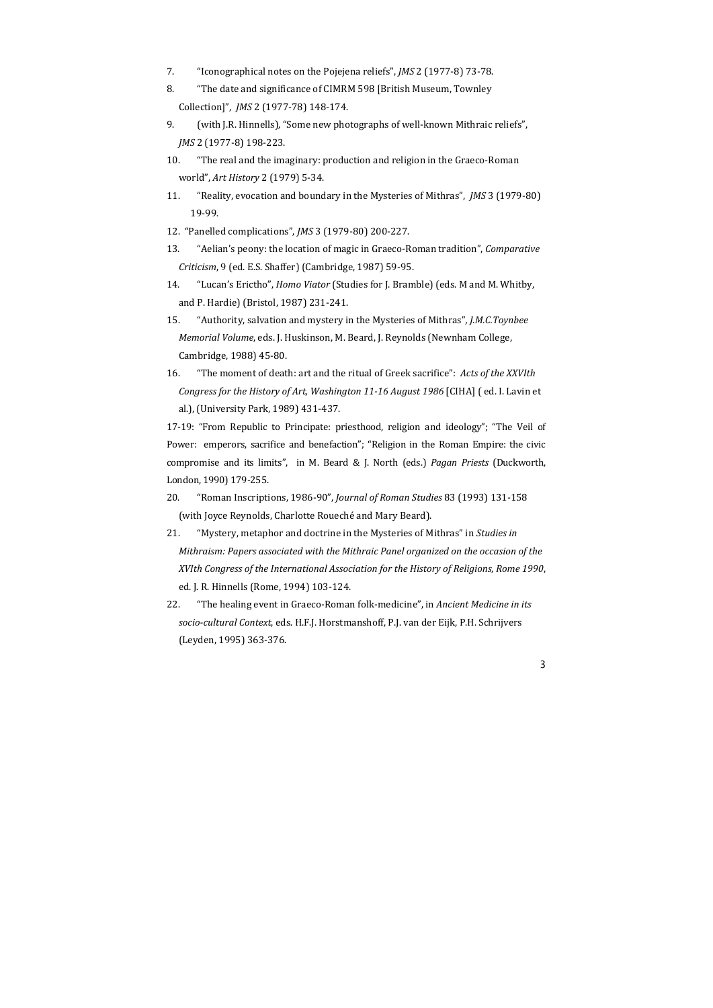- 7. "Iconographical notes on the Pojejena reliefs", *JMS* 2 (1977-8) 73-78.
- 8. "The date and significance of CIMRM 598 [British Museum, Townley Collection]", *JMS* 2 (1977-78) 148-174.
- 9. *(with J.R. Hinnells),* "Some new photographs of well-known Mithraic reliefs", *JMS* 2 (1977-8) 198-223.
- 10. "The real and the imaginary: production and religion in the Graeco-Roman world", *Art History* 2 (1979) 5-34.
- 11. "Reality, evocation and boundary in the Mysteries of Mithras", *JMS* 3 (1979-80) 19‐99.
- 12. "Panelled complications", *JMS* 3 (1979-80) 200-227.
- 13. "Aelian's peony: the location of magic in Graeco-Roman tradition", *Comparative Criticism*, 9 (ed. E.S. Shaffer) (Cambridge, 1987) 59‐95.
- 14. "Lucan's Erictho", *Homo Viator* (Studies for J. Bramble) (eds. M and M. Whitby, and P. Hardie) (Bristol, 1987) 231-241.
- 15. "Authority, salvation and mystery in the Mysteries of Mithras"*, J.M.C.Toynbee Memorial Volume, eds. J. Huskinson, M. Beard, J. Reynolds (Newnham College,* Cambridge, 1988) 45-80.
- 16. "The moment of death: art and the ritual of Greek sacrifice": Acts of the XXVIth *Congress for the History of Art, Washington 11‐16 August 1986* [CIHA] ( ed. I. Lavin et al.), (University Park, 1989) 431-437.

17-19: "From Republic to Principate: priesthood, religion and ideology"; "The Veil of Power: emperors, sacrifice and benefaction"; "Religion in the Roman Empire: the civic compromise and its limits", in M. Beard & J. North (eds.) *Pagan Priests* (Duckworth, London, 1990) 179-255.

- 20. "Roman Inscriptions, 1986‐90", *Journal of Roman Studies* 83 (1993) 131‐158 (with Joyce Reynolds, Charlotte Roueché and Mary Beard).
- 21. "Mystery, metaphor and doctrine in the Mysteries of Mithras" in *Studies in Mithraism: Papers associated with the Mithraic Panel organized on the occasion of the XVIth Congress of the International Association for the History of Religions, Rome 1990*, ed. J. R. Hinnells (Rome, 1994) 103-124.
- 22. "The healing event in Graeco-Roman folk-medicine", in *Ancient Medicine in its socio‐cultural Context*, eds. H.F.J. Horstmanshoff, P.J. van der Eijk, P.H. Schrijvers (Leyden, 1995) 363‐376.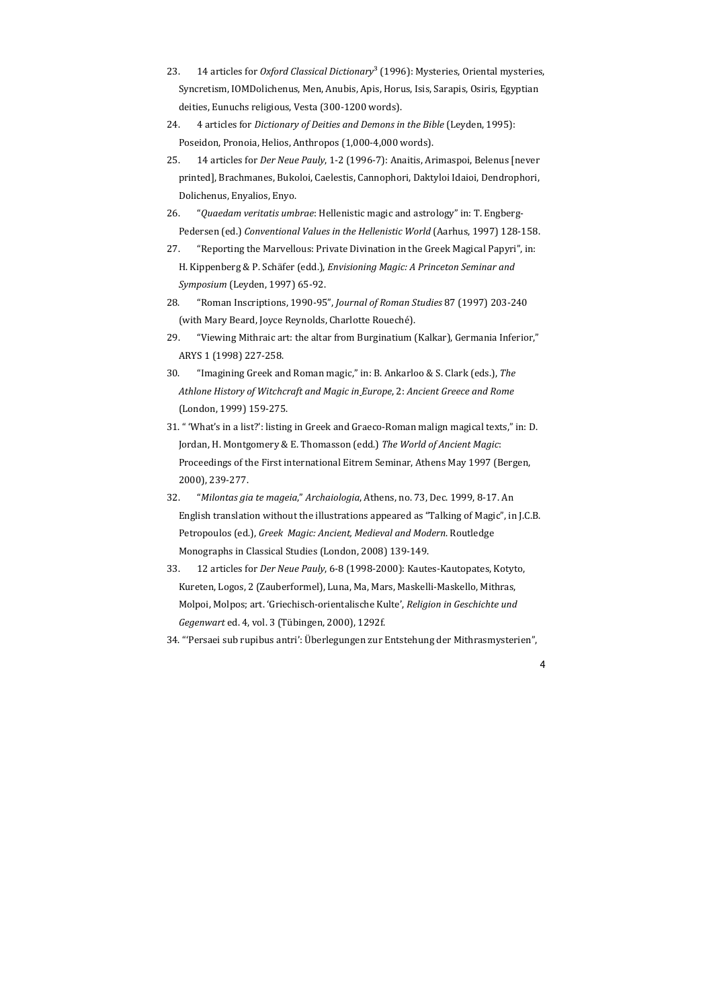- 23. 14 articles for *Oxford Classical Dictionary*<sup>3</sup> (1996): Mysteries, Oriental mysteries, Syncretism, IOMDolichenus, Men, Anubis, Apis, Horus, Isis, Sarapis, Osiris, Egyptian deities, Eunuchs religious, Vesta (300-1200 words).
- 24. 4 articles for *Dictionary of Deities and Demons in the Bible* (Leyden, 1995): Poseidon, Pronoia, Helios, Anthropos (1,000-4,000 words).
- 25. 14 articles for *Der Neue Pauly*, 1-2 (1996-7): Anaitis, Arimaspoi, Belenus [never printed], Brachmanes, Bukoloi, Caelestis, Cannophori, Daktyloi Idaioi, Dendrophori, Dolichenus, Enyalios, Enyo.
- 26. "*Quaedam veritatis umbrae*: Hellenistic magic and astrology" in: T. Engberg-Pedersen (ed.) *Conventional Values in the Hellenistic World* (Aarhus, 1997) 128‐158.
- 27. "Reporting the Marvellous: Private Divination in the Greek Magical Papyri", in: H. Kippenberg & P. Schäfer (edd.), *Envisioning Magic: A Princeton Seminar and Symposium* (Leyden, 1997) 65-92.
- 28. "Roman Inscriptions, 1990‐95", *Journal of Roman Studies* 87 (1997) 203‐240 (with Mary Beard, Joyce Reynolds, Charlotte Roueché).
- 29. "Viewing Mithraic art: the altar from Burginatium (Kalkar), Germania Inferior," ARYS 1 (1998) 227-258.
- 30. "Imagining Greek and Roman magic," in: B. Ankarloo & S. Clark (eds.), *The Athlone History of Witchcraft and Magic in Europe*, 2: *Ancient Greece and Rome* (London, 1999) 159-275.
- 31. " 'What's in a list?': listing in Greek and Graeco-Roman malign magical texts," in: D. Jordan, H. Montgomery & E. Thomasson (edd.) *The World of Ancient Magic*: Proceedings of the First international Eitrem Seminar, Athens May 1997 (Bergen, 2000), 239‐277.
- 32. "*Milontas gia te mageia*," *Archaiologia*, Athens, no. 73, Dec. 1999, 8‐17. An English translation without the illustrations appeared as "Talking of Magic", in J.C.B. Petropoulos (ed.), *Greek Magic: Ancient, Medieval and Modern*. Routledge Monographs in Classical Studies (London, 2008) 139-149.
- 33. 12 articles for *Der Neue Pauly*, 6-8 (1998-2000): Kautes-Kautopates, Kotyto, Kureten, Logos, 2 (Zauberformel), Luna, Ma, Mars, Maskelli-Maskello, Mithras, Molpoi, Molpos; art. 'Griechisch‐orientalische Kulte', *Religion in Geschichte und Gegenwart* ed. 4, vol. 3 (Tübingen, 2000), 1292f.
- 34. "'Persaei sub rupibus antri': Überlegungen zur Entstehung der Mithrasmysterien",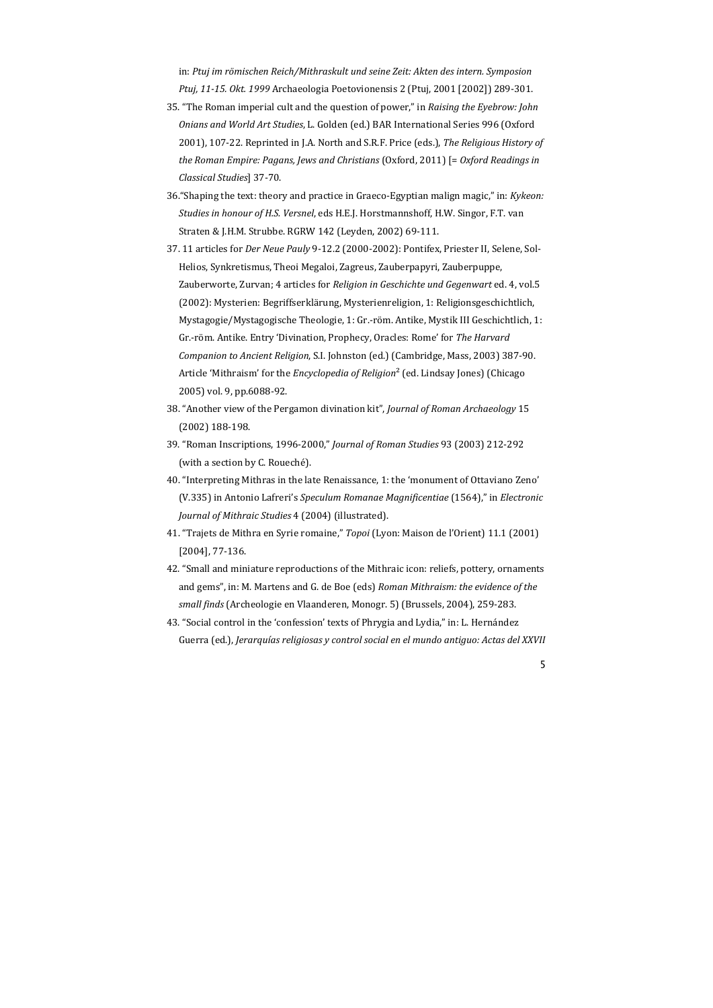in: *Ptuj im römischen Reich/Mithraskult und seine Zeit: Akten des intern. Symposion Ptuj, 11‐15. Okt. 1999* Archaeologia Poetovionensis 2 (Ptuj, 2001 [2002]) 289‐301. 

- 35. "The Roman imperial cult and the question of power," in *Raising the Eyebrow: John Onians and World Art Studies*, L. Golden (ed.) BAR International Series 996 (Oxford 2001), 107-22. Reprinted in J.A. North and S.R.F. Price (eds.), *The Religious History of the Roman Empire: Pagans, Jews and Christians* (Oxford, 2011) [= *Oxford Readings in Classical Studies*] 37‐70.
- 36. "Shaping the text: theory and practice in Graeco-Egyptian malign magic," in: *Kykeon: Studies in honour of H.S. Versnel*, eds H.E.J. Horstmannshoff, H.W. Singor, F.T. van Straten & J.H.M. Strubbe. RGRW 142 (Leyden, 2002) 69-111.
- 37. 11 articles for *Der Neue Pauly* 9-12.2 (2000-2002): Pontifex, Priester II, Selene, Sol-Helios, Synkretismus, Theoi Megaloi, Zagreus, Zauberpapyri, Zauberpuppe, Zauberworte, Zurvan; 4 articles for *Religion in Geschichte und Gegenwart* ed. 4, vol.5 (2002): Mysterien: Begriffserklärung, Mysterienreligion, 1: Religionsgeschichtlich, Mystagogie/Mystagogische Theologie, 1: Gr.-röm. Antike, Mystik III Geschichtlich, 1: Gr.‐röm. Antike. Entry 'Divination, Prophecy, Oracles: Rome' for *The Harvard Companion to Ancient Religion*, S.I. Johnston (ed.) (Cambridge, Mass, 2003) 387‐90. Article 'Mithraism' for the *Encyclopedia of Religion*<sup>2</sup> (ed. Lindsay Jones) (Chicago 2005) vol. 9, pp.6088-92.
- 38. "Another view of the Pergamon divination kit", *Journal of Roman Archaeology* 15  $(2002)$  188-198.
- 39. "Roman Inscriptions, 1996‐2000," *Journal of Roman Studies* 93 (2003) 212‐292 (with a section by C. Roueché).
- 40. "Interpreting Mithras in the late Renaissance, 1: the 'monument of Ottaviano Zeno' (V.335) in Antonio Lafreri's *Speculum Romanae Magnificentiae* (1564)," in *Electronic Journal of Mithraic Studies* 4 (2004) (illustrated).
- 41. "Trajets de Mithra en Syrie romaine," Topoi (Lyon: Maison de l'Orient) 11.1 (2001) [2004], 77‐136.
- 42. "Small and miniature reproductions of the Mithraic icon: reliefs, pottery, ornaments and gems", in: M. Martens and G. de Boe (eds) *Roman Mithraism: the evidence of the small finds* (Archeologie en Vlaanderen, Monogr. 5) (Brussels, 2004), 259‐283.
- 43. "Social control in the 'confession' texts of Phrygia and Lydia," in: L. Hernández Guerra (ed.), *Jerarquías religiosas y control social en el mundo antiguo: Actas del XXVII*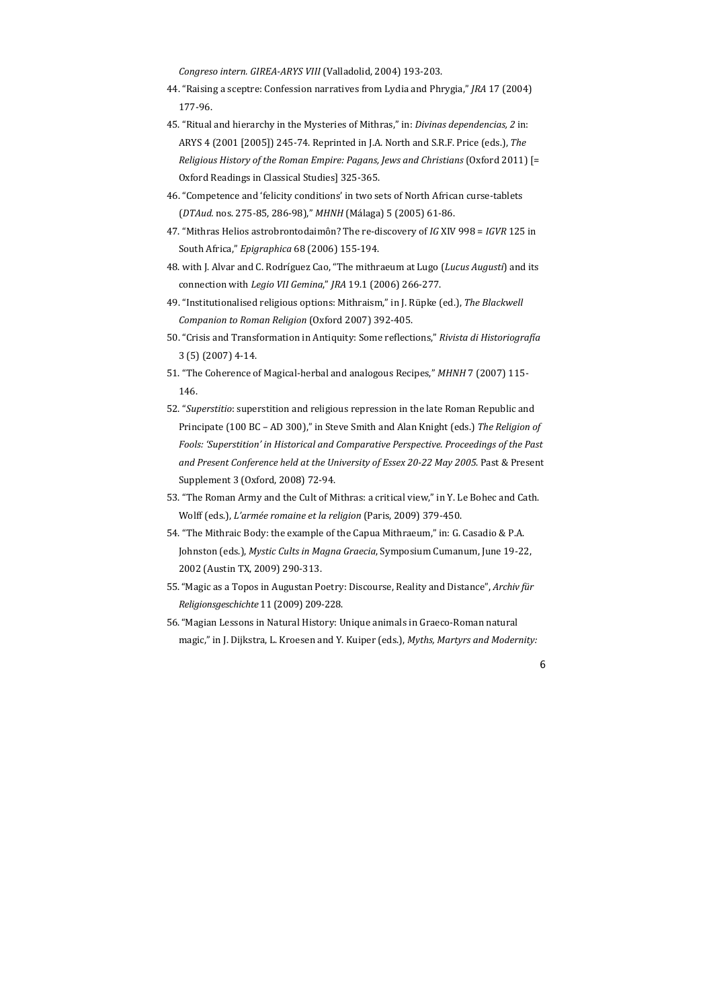*Congreso intern. GIREA‐ARYS VIII* (Valladolid, 2004) 193‐203. 

- 44. "Raising a sceptre: Confession narratives from Lydia and Phrygia," *JRA* 17 (2004) 177‐96.
- 45. "Ritual and hierarchy in the Mysteries of Mithras," in: *Divinas dependencias*, 2 in: ARYS 4 (2001 [2005]) 245-74. Reprinted in J.A. North and S.R.F. Price (eds.), *The Religious History of the Roman Empire: Pagans, Jews and Christians* (Oxford 2011) [= Oxford Readings in Classical Studies] 325-365.
- 46. "Competence and 'felicity conditions' in two sets of North African curse-tablets (*DTAud.* nos. 275‐85, 286‐98)," *MHNH* (Málaga) 5 (2005) 61‐86.
- 47. "Mithras Helios astrobrontodaimôn? The re-discovery of *IG* XIV 998 = *IGVR* 125 in South Africa," *Epigraphica* 68 (2006) 155‐194.
- 48. with J. Alvar and C. Rodríguez Cao, "The mithraeum at Lugo (*Lucus Augusti*) and its connection with *Legio VII Gemina*," *JRA* 19.1 (2006) 266‐277.
- 49. "Institutionalised religious options: Mithraism," in J. Rüpke (ed.), The Blackwell *Companion to Roman Religion* (Oxford 2007) 392‐405.
- 50. "Crisis and Transformation in Antiquity: Some reflections," *Rivista di Historiografía* 3 (5) (2007) 4‐14.
- 51. "The Coherence of Magical-herbal and analogous Recipes," MHNH 7 (2007) 115-146.
- 52. "Superstitio: superstition and religious repression in the late Roman Republic and Principate (100 BC – AD 300)," in Steve Smith and Alan Knight (eds.) The Religion of *Fools: 'Superstition' in Historical and Comparative Perspective. Proceedings of the Past and Present Conference held at the University of Essex 20‐22 May 2005*. Past & Present Supplement 3 (Oxford, 2008) 72-94.
- 53. "The Roman Army and the Cult of Mithras: a critical view," in Y. Le Bohec and Cath. Wolff (eds.), *L'armée romaine et la religion* (Paris, 2009) 379-450.
- 54. "The Mithraic Body: the example of the Capua Mithraeum," in: G. Casadio & P.A. Johnston (eds.), *Mystic Cults in Magna Graecia*, Symposium Cumanum, June 19-22, 2002 (Austin TX, 2009) 290-313.
- 55. "Magic as a Topos in Augustan Poetry: Discourse, Reality and Distance", *Archiv für Religionsgeschichte* 11 (2009) 209‐228.
- 56. "Magian Lessons in Natural History: Unique animals in Graeco-Roman natural magic," in J. Dijkstra, L. Kroesen and Y. Kuiper (eds.), *Myths, Martyrs and Modernity:*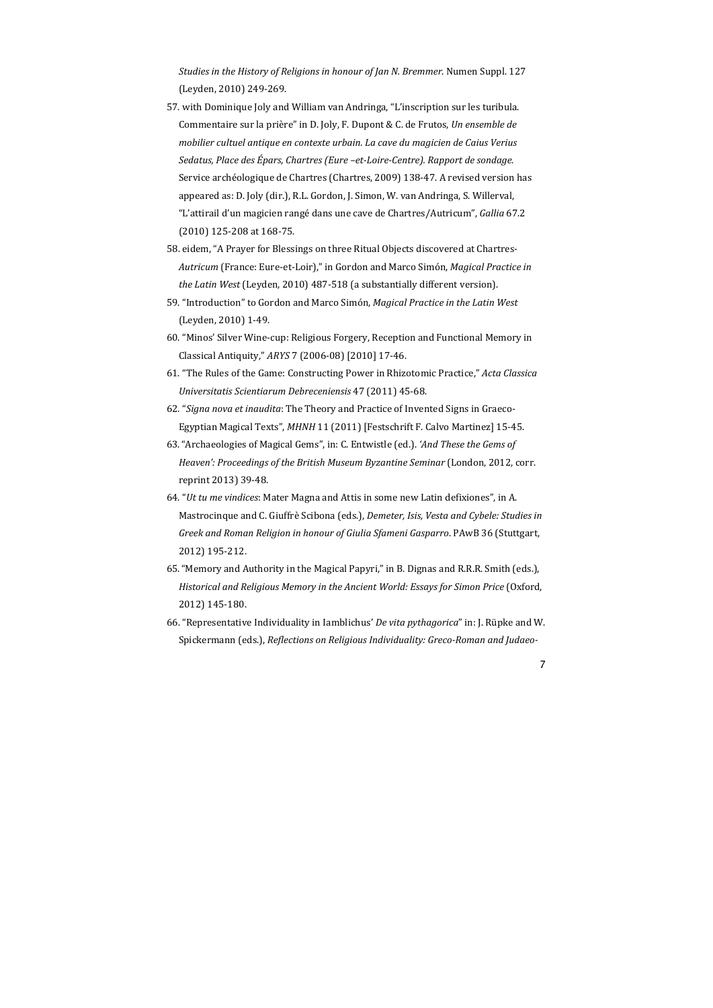*Studies in the History of Religions in honour of Jan N. Bremmer*. Numen Suppl. 127 (Leyden, 2010) 249-269.

- 57. with Dominique Joly and William van Andringa, "L'inscription sur les turibula. Commentaire sur la prière" in D. Joly, F. Dupont & C. de Frutos, *Un ensemble de mobilier cultuel antique en contexte urbain. La cave du magicien de Caius Verius Sedatus, Place des Épars, Chartres (Eure –et‐Loire‐Centre). Rapport de sondage*. Service archéologique de Chartres (Chartres, 2009) 138-47. A revised version has appeared as: D. Joly (dir.), R.L. Gordon, J. Simon, W. van Andringa, S. Willerval, "L'attirail d'un magicien rangé dans une cave de Chartres/Autricum", *Gallia* 67.2 (2010) 125-208 at 168-75.
- 58. eidem, "A Prayer for Blessings on three Ritual Objects discovered at Chartres-*Autricum* (France: Eure‐et‐Loir)," in Gordon and Marco Simón, *Magical Practice in the Latin West* (Leyden, 2010) 487-518 (a substantially different version).
- 59. "Introduction" to Gordon and Marco Simón, *Magical Practice in the Latin West* (Leyden, 2010) 1-49.
- 60. "Minos' Silver Wine-cup: Religious Forgery, Reception and Functional Memory in Classical Antiquity," *ARYS* 7 (2006‐08) [2010] 17‐46.
- 61. "The Rules of the Game: Constructing Power in Rhizotomic Practice," *Acta Classica Universitatis Scientiarum Debreceniensis* 47 (2011) 45‐68.
- 62. "Signa nova et *inaudita*: The Theory and Practice of Invented Signs in Graeco-Egyptian Magical Texts", MHNH 11 (2011) [Festschrift F. Calvo Martinez] 15-45.
- 63. "Archaeologies of Magical Gems", in: C. Entwistle (ed.). *'And These the Gems of Heaven': Proceedings of the British Museum Byzantine Seminar* (London, 2012, corr. reprint 2013) 39-48.
- 64. "Ut tu me vindices: Mater Magna and Attis in some new Latin defixiones", in A. Mastrocinque and C. Giuffrè Scibona (eds.), *Demeter, Isis, Vesta and Cybele: Studies in Greek and Roman Religion in honour of Giulia Sfameni Gasparro*. PAwB 36 (Stuttgart, 2012) 195‐212.
- 65. "Memory and Authority in the Magical Papyri," in B. Dignas and R.R.R. Smith (eds.), *Historical and Religious Memory in the Ancient World: Essays for Simon Price* (Oxford, 2012) 145‐180.
- 66. "Representative Individuality in Iamblichus' *De vita pythagorica*" in: J. Rüpke and W. Spickermann (eds.), *Reflections on Religious Individuality: Greco‐Roman and Judaeo‐*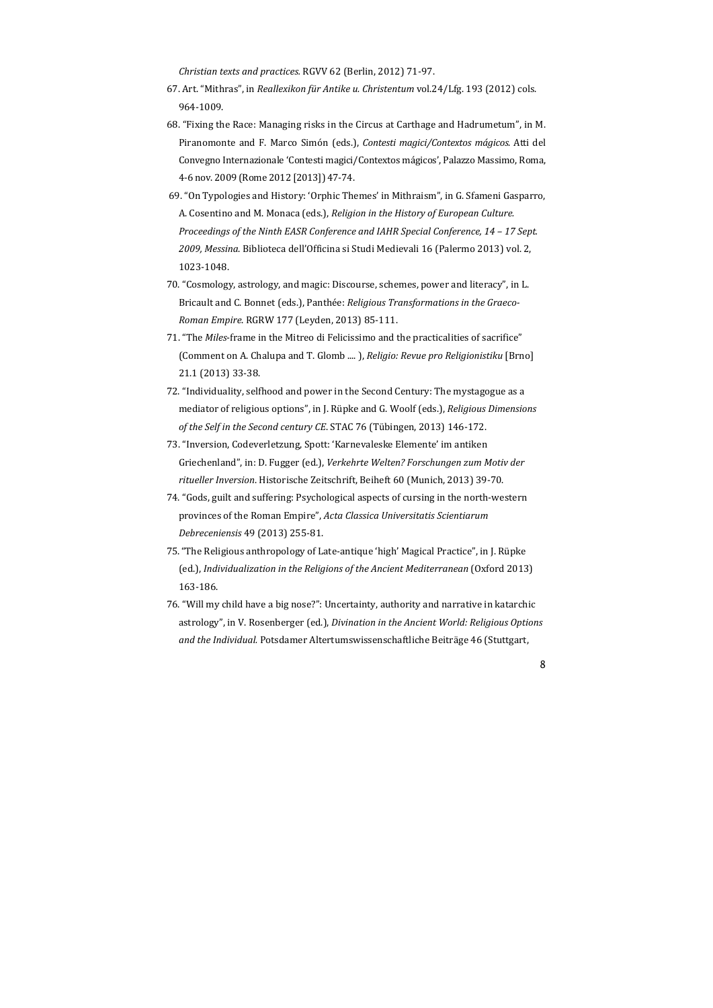*Christian texts and practices.* RGVV 62 (Berlin, 2012) 71‐97. 

- 67. Art. "Mithras", in *Reallexikon für Antike u. Christentum* vol.24/Lfg. 193 (2012) cols. 964‐1009.
- 68. "Fixing the Race: Managing risks in the Circus at Carthage and Hadrumetum", in M. Piranomonte and F. Marco Simón (eds.), *Contesti magici/Contextos mágicos*. Atti del Convegno Internazionale 'Contesti magici/Contextos mágicos', Palazzo Massimo, Roma, 4‐6 nov. 2009 (Rome 2012 [2013]) 47‐74.
- 69. "On Typologies and History: 'Orphic Themes' in Mithraism", in G. Sfameni Gasparro, A. Cosentino and M. Monaca (eds.), *Religion in the History of European Culture. Proceedings of the Ninth EASR Conference and IAHR Special Conference, 14 – 17 Sept. 2009, Messina*. Biblioteca dell'Officina si Studi Medievali 16 (Palermo 2013) vol. 2, 1023‐1048.
- 70. "Cosmology, astrology, and magic: Discourse, schemes, power and literacy", in L. Bricault and C. Bonnet (eds.), Panthée: *Religious Transformations in the Graeco*-*Roman Empire*. RGRW 177 (Leyden, 2013) 85‐111.
- 71. "The *Miles*-frame in the Mitreo di Felicissimo and the practicalities of sacrifice" (Comment on A. Chalupa and T. Glomb ....), *Religio: Revue pro Religionistiku* [Brno] 21.1 (2013) 33‐38.
- 72. "Individuality, selfhood and power in the Second Century: The mystagogue as a mediator of religious options", in J. Rüpke and G. Woolf (eds.), *Religious Dimensions of the Self in the Second century CE*. STAC 76 (Tübingen, 2013) 146‐172.
- 73. "Inversion, Codeverletzung, Spott: 'Karnevaleske Elemente' im antiken Griechenland", in: D. Fugger (ed.), *Verkehrte Welten? Forschungen zum Motiv der ritueller Inversion*. Historische Zeitschrift, Beiheft 60 (Munich, 2013) 39‐70.
- 74. "Gods, guilt and suffering: Psychological aspects of cursing in the north-western provinces of the Roman Empire", *Acta Classica Universitatis Scientiarum Debreceniensis* 49 (2013) 255‐81.
- 75. "The Religious anthropology of Late-antique 'high' Magical Practice", in J. Rüpke (ed.), *Individualization in the Religions of the Ancient Mediterranean* (Oxford 2013) 163‐186.
- 76. "Will my child have a big nose?": Uncertainty, authority and narrative in katarchic astrology", in V. Rosenberger (ed.), *Divination in the Ancient World: Religious Options and the Individual.* Potsdamer Altertumswissenschaftliche Beiträge 46 (Stuttgart,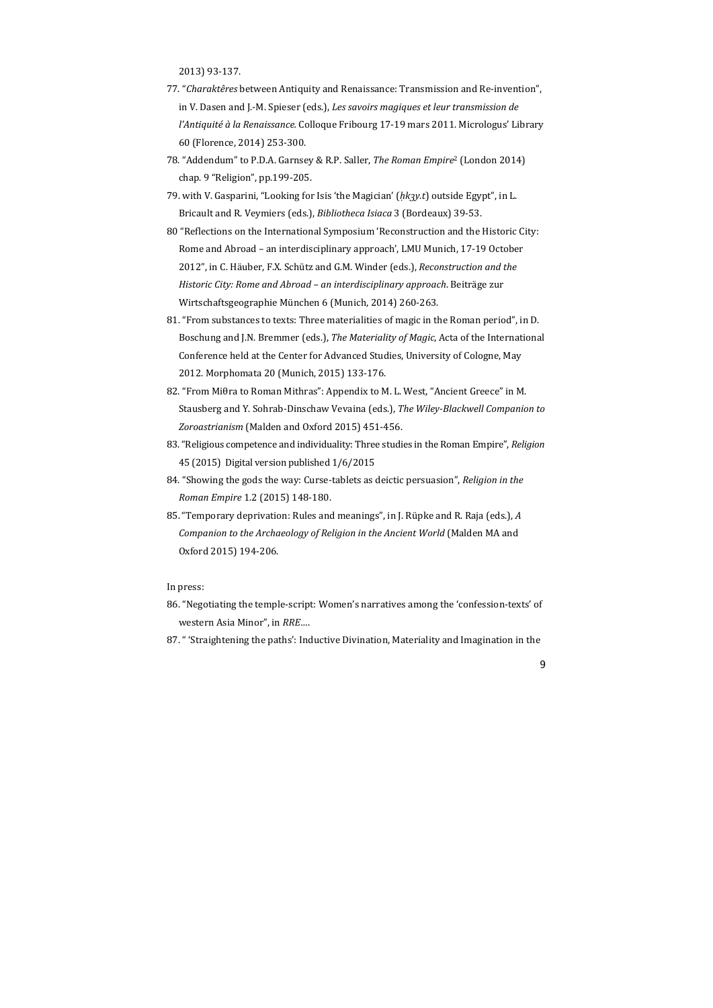2013) 93‐137. 

- 77. "Charaktêres between Antiquity and Renaissance: Transmission and Re-invention", in V. Dasen and J.‐M. Spieser (eds.), *Les savoirs magiques et leur transmission de l'Antiquité à la Renaissance.* Colloque Fribourg 17-19 mars 2011. Micrologus' Library 60 (Florence, 2014) 253‐300.
- 78. "Addendum" to P.D.A. Garnsey & R.P. Saller, *The Roman Empire*<sup>2</sup> (London 2014) chap. 9 "Religion", pp.199-205.
- 79. with V. Gasparini, "Looking for Isis 'the Magician' ( $h$ *k* $\gamma$ *k*) outside Egypt", in L. Bricault and R. Veymiers (eds.), *Bibliotheca Isiaca* 3 (Bordeaux) 39-53.
- 80 "Reflections on the International Symposium 'Reconstruction and the Historic City: Rome and Abroad – an interdisciplinary approach', LMU Munich, 17-19 October 2012", in C. Häuber, F.X. Schütz and G.M. Winder (eds.), Reconstruction and the *Historic City: Rome and Abroad – an interdisciplinary approach*. Beiträge zur Wirtschaftsgeographie München 6 (Munich, 2014) 260-263.
- 81. "From substances to texts: Three materialities of magic in the Roman period", in D. Boschung and J.N. Bremmer (eds.), *The Materiality of Magic*, Acta of the International Conference held at the Center for Advanced Studies, University of Cologne, May 2012. Morphomata 20 (Munich, 2015) 133-176.
- 82. "From Miθra to Roman Mithras": Appendix to M. L. West, "Ancient Greece" in M. Stausberg and Y. Sohrab‐Dinschaw Vevaina (eds.), *The Wiley‐Blackwell Companion to* Zoroastrianism (Malden and Oxford 2015) 451-456.
- 83. "Religious competence and individuality: Three studies in the Roman Empire", *Religion* 45 (2015) Digital version published 1/6/2015
- 84. "Showing the gods the way: Curse-tablets as deictic persuasion", *Religion in the Roman Empire* 1.2 (2015) 148‐180.
- 85. "Temporary deprivation: Rules and meanings", in J. Rüpke and R. Raja (eds.), A *Companion to the Archaeology of Religion in the Ancient World* (Malden MA and Oxford 2015) 194‐206.

In press:

- 86. "Negotiating the temple-script: Women's narratives among the 'confession-texts' of western Asia Minor", in *RRE...*.
- 87. " 'Straightening the paths': Inductive Divination, Materiality and Imagination in the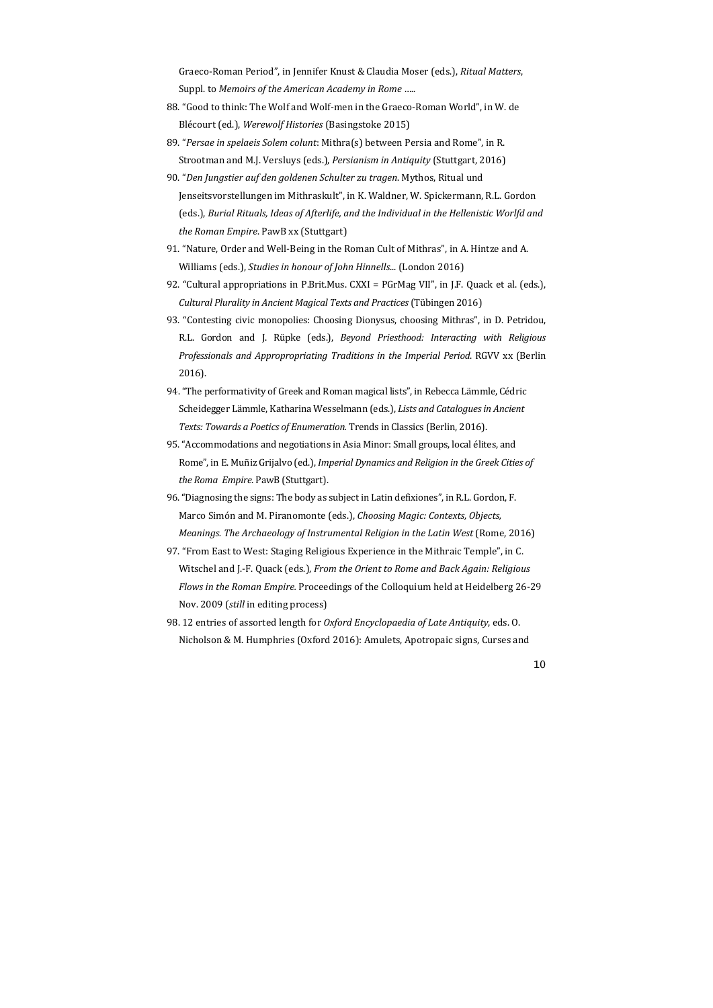Graeco‐Roman Period", in Jennifer Knust & Claudia Moser (eds.), *Ritual Matters*, Suppl. to *Memoirs* of the *American Academy* in *Rome* .....

- 88. "Good to think: The Wolf and Wolf-men in the Graeco-Roman World", in W. de Blécourt (ed.), *Werewolf Histories* (Basingstoke 2015)
- 89. "*Persae in spelaeis Solem colunt*: Mithra(s) between Persia and Rome", in R. Strootman and M.J. Versluys (eds.), *Persianism in Antiquity* (Stuttgart, 2016)
- 90. "*Den Jungstier auf den goldenen Schulter zu tragen*. Mythos, Ritual und Jenseitsvorstellungen im Mithraskult", in K. Waldner, W. Spickermann, R.L. Gordon (eds.), *Burial Rituals, Ideas of Afterlife, and the Individual in the Hellenistic Worlfd and the Roman Empire*. PawB xx (Stuttgart)
- 91. "Nature, Order and Well-Being in the Roman Cult of Mithras", in A. Hintze and A. Williams (eds.), *Studies in honour of John Hinnells*... (London 2016)
- 92. "Cultural appropriations in P.Brit.Mus. CXXI = PGrMag VII", in J.F. Quack et al. (eds.), *Cultural Plurality in Ancient Magical Texts and Practices* (Tübingen 2016)
- 93. "Contesting civic monopolies: Choosing Dionysus, choosing Mithras", in D. Petridou, R.L. Gordon and J. Rüpke (eds.), *Beyond Priesthood: Interacting with Religious Professionals and Appropropriating Traditions in the Imperial Period*. RGVV xx (Berlin 2016).
- 94. "The performativity of Greek and Roman magical lists", in Rebecca Lämmle, Cédric Scheidegger Lämmle, Katharina Wesselmann (eds.), *Lists and Cataloguesin Ancient Texts: Towards a Poetics of Enumeration.* Trends in Classics (Berlin, 2016).
- 95. "Accommodations and negotiations in Asia Minor: Small groups, local élites, and Rome", in E. Muñiz Grijalvo (ed.), *Imperial Dynamics and Religion in the Greek Cities of the Roma Empire.* PawB (Stuttgart).
- 96. "Diagnosing the signs: The body as subject in Latin defixiones", in R.L. Gordon, F. Marco Simón and M. Piranomonte (eds.), *Choosing Magic: Contexts, Objects, Meanings. The Archaeology of Instrumental Religion in the Latin West* (Rome, 2016)
- 97. "From East to West: Staging Religious Experience in the Mithraic Temple", in C. Witschel and J.‐F. Quack (eds.), *From the Orient to Rome and Back Again: Religious Flows in the Roman Empire.* Proceedings of the Colloquium held at Heidelberg 26-29 Nov. 2009 (*still* in editing process)
- 98. 12 entries of assorted length for *Oxford Encyclopaedia of Late Antiquity*, eds. O. Nicholson & M. Humphries (Oxford 2016): Amulets, Apotropaic signs, Curses and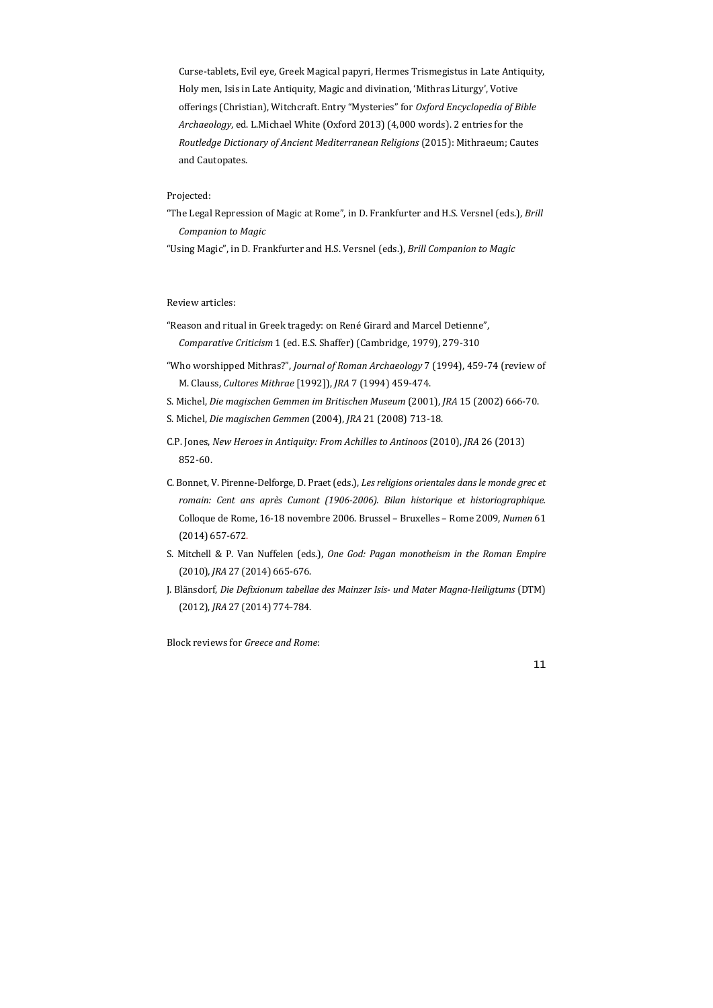"The Legal Repression of Magic at Rome", in D. Frankfurter and H.S. Versnel (eds.), *Brill Companion to Magic*

Curse-tablets, Evil eye, Greek Magical papyri, Hermes Trismegistus in Late Antiquity, Holy men, Isis in Late Antiquity, Magic and divination, 'Mithras Liturgy', Votive offerings (Christian), Witchcraft. Entry "Mysteries" for *Oxford Encyclopedia of Bible Archaeology*, ed. L.Michael White (Oxford 2013) (4,000 words). 2 entries for the *Routledge Dictionary of Ancient Mediterranean Religions* (2015): Mithraeum; Cautes and Cautopates.

# Projected:

"Using Magic", in D. Frankfurter and H.S. Versnel (eds.), *Brill Companion to Magic*

### Review articles:

- "Reason and ritual in Greek tragedy: on René Girard and Marcel Detienne", *Comparative Criticism* 1 (ed. E.S. Shaffer) (Cambridge, 1979), 279-310
- "Who worshipped Mithras?", Journal of Roman Archaeology 7 (1994), 459-74 (review of M. Clauss, *Cultores Mithrae* [1992]), *JRA* 7 (1994) 459‐474.
- S. Michel, *Die magischen Gemmen im Britischen Museum* (2001), *JRA* 15 (2002) 666‐70.
- S. Michel, *Die magischen Gemmen* (2004), *JRA* 21 (2008) 713‐18.
- C.P. Jones, *New Heroes in Antiquity: From Achilles to Antinoos* (2010), *JRA* 26 (2013) 852‐60.
- C. Bonnet, V. Pirenne‐Delforge, D. Praet (eds.), *Les religions orientales dans le monde grec et romain: Cent ans après Cumont (1906‐2006). Bilan historique et historiographique.* Colloque de Rome, 16-18 novembre 2006. Brussel - Bruxelles - Rome 2009, Numen 61 (2014) 657‐672.
- S. Mitchell & P. Van Nuffelen (eds.), *One God: Pagan monotheism in the Roman Empire* (2010)*, JRA* 27 (2014) 665‐676.
- J. Blänsdorf, *Die Defixionum tabellae des Mainzer Isis‐ und Mater Magna‐Heiligtums* (DTM) (2012), *JRA* 27 (2014) 774-784.

Block reviews for *Greece and Rome*: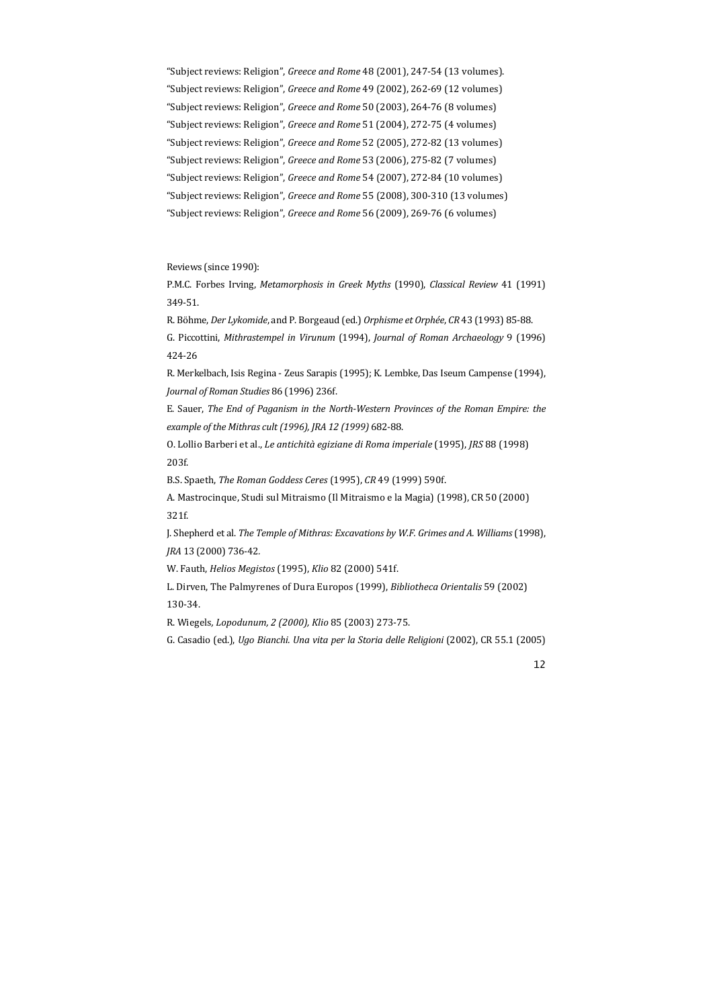"Subject reviews: Religion", Greece and Rome 48 (2001), 247-54 (13 volumes). "Subject reviews: Religion", Greece and Rome 49 (2002), 262-69 (12 volumes) "Subject reviews: Religion", Greece and Rome 50 (2003), 264-76 (8 volumes) "Subject reviews: Religion", *Greece and Rome* 51 (2004), 272-75 (4 volumes) "Subject reviews: Religion", Greece and Rome 52 (2005), 272-82 (13 volumes) "Subject reviews: Religion", Greece and Rome 53 (2006), 275-82 (7 volumes) "Subject reviews: Religion", Greece and Rome 54 (2007), 272-84 (10 volumes) "Subject reviews: Religion", Greece and Rome 55 (2008), 300-310 (13 volumes) "Subject reviews: Religion", *Greece and Rome* 56 (2009), 269-76 (6 volumes)

Reviews (since 1990):

P.M.C. Forbes Irving, Metamorphosis in Greek Myths (1990), Classical Review 41 (1991) 349‐51. 

R. Böhme, *Der Lykomide*, and P. Borgeaud (ed.) Orphisme et Orphée, CR 43 (1993) 85-88.

R. Merkelbach, Isis Regina - Zeus Sarapis (1995); K. Lembke, Das Iseum Campense (1994), *Journal of Roman Studies* 86 (1996) 236f. 

A. Mastrocinque, Studi sul Mitraismo (Il Mitraismo e la Magia) (1998), CR 50 (2000) 321f. 

L. Dirven, The Palmyrenes of Dura Europos (1999), *Bibliotheca Orientalis* 59 (2002) 130‐34. 

G. Piccottini, *Mithrastempel in Virunum* (1994), *Journal of Roman Archaeology* 9 (1996) 424‐26 

E. Sauer, *The End of Paganism in the North‐Western Provinces of the Roman Empire: the example of the Mithras cult (1996), JRA 12 (1999)* 682‐88.

O. Lollio Barberi et al., *Le antichità egiziane di Roma imperiale* (1995), *JRS* 88 (1998) 203f. 

B.S. Spaeth, *The Roman Goddess Ceres* (1995), *CR* 49 (1999) 590f. 

J. Shepherd et al. *The Temple of Mithras: Excavations by W.F. Grimes and A. Williams* (1998), *JRA* 13 (2000) 736‐42*.*

W. Fauth, *Helios Megistos* (1995), *Klio* 82 (2000) 541f. 

R. Wiegels*, Lopodunum, 2 (2000), Klio* 85 (2003) 273‐75.

G. Casadio (ed.), *Ugo Bianchi. Una vita per la Storia delle Religioni* (2002), CR 55.1 (2005)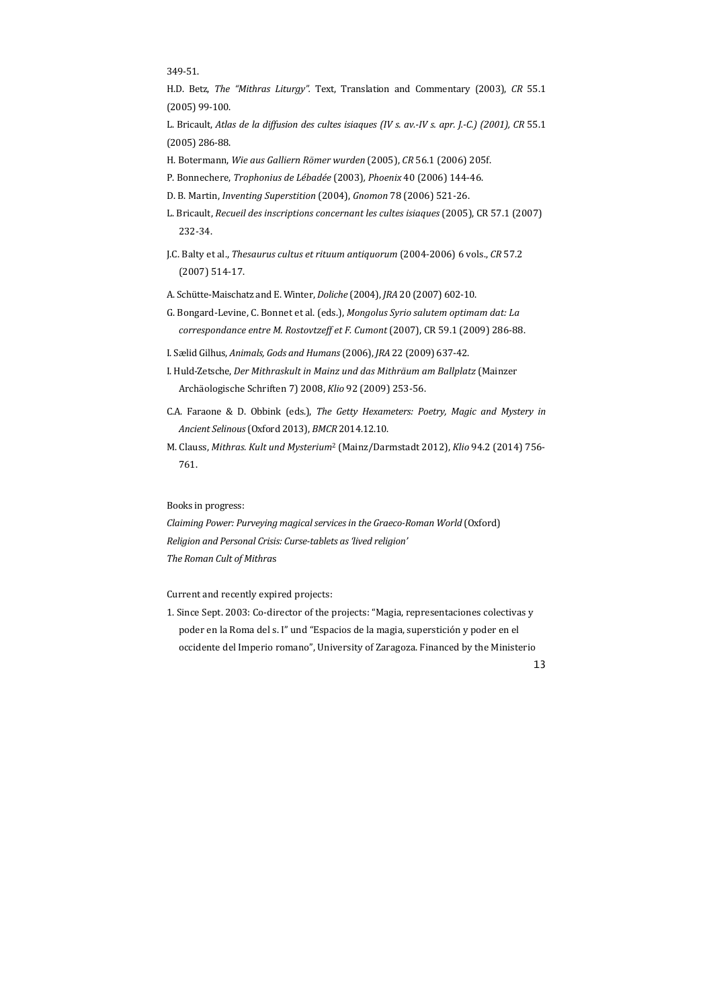349‐51. 

H.D. Betz, The "Mithras Liturgy". Text, Translation and Commentary (2003), CR 55.1  $(2005)$  99-100.

L. Bricault, Atlas de la diffusion des cultes isiaques (IV s. av.-IV s. apr. J.-C.) (2001), CR 55.1 (2005) 286‐88.

*Claiming Power: Purveying magical services in the Graeco-Roman World* (Oxford) *Religion and Personal Crisis: Curse‐tablets as'lived religion' The Roman Cult of Mithra*s

Current and recently expired projects:

1. Since Sept. 2003: Co-director of the projects: "Magia, representaciones colectivas y poder en la Roma del s. I" und "Espacios de la magia, superstición y poder en el occidente del Imperio romano", University of Zaragoza. Financed by the Ministerio

- H. Botermann, *Wie aus Galliern Römer wurden* (2005), *CR* 56.1 (2006) 205f.
- P. Bonnechere, *Trophonius de Lébadée* (2003)*, Phoenix* 40 (2006) 144‐46.
- D. B. Martin, *Inventing Superstition* (2004), *Gnomon* 78 (2006) 521‐26.
- L. Bricault, *Recueil des inscriptions concernant les cultes isiaques* (2005), CR 57.1 (2007) 232‐34.
- J.C. Balty et al., *Thesaurus cultus et rituum antiquorum* (2004‐2006) 6 vols., *CR* 57.2  $(2007)$  514-17.
- A. Schütte-Maischatz and E. Winter, *Doliche* (2004), *JRA* 20 (2007) 602-10.
- G. Bongard‐Levine, C. Bonnet et al. (eds.), *Mongolus Syrio salutem optimam dat: La correspondance entre M. Rostovtzeff et F. Cumont* (2007), CR 59.1 (2009) 286‐88.
- I. Sælid Gilhus, *Animals, Gods and Humans*(2006), *JRA* 22 (2009) 637‐42.
- I. Huld‐Zetsche, *Der Mithraskult in Mainz und das Mithräum am Ballplatz* (Mainzer Archäologische Schriften 7) 2008, *Klio* 92 (2009) 253‐56.
- C.A. Faraone & D. Obbink (eds.), *The Getty Hexameters: Poetry, Magic and Mystery in Ancient Selinous*(Oxford 2013), *BMCR* 2014.12.10.
- M. Clauss, Mithras. Kult und Mysterium<sup>2</sup> (Mainz/Darmstadt 2012), Klio 94.2 (2014) 756-761.

Books in progress: